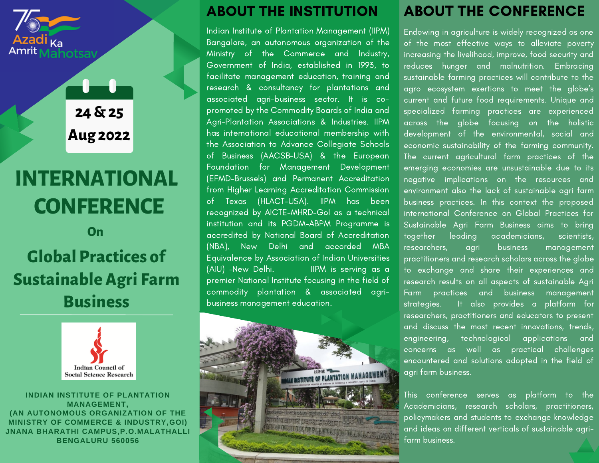

**24 & 25 Aug 2022**

# **INTERNATIONAL CONFERENCE**

## **Global Practices of Sustainable Agri Farm Business On**



**INDIAN INSTITUTE OF PLANTATION MANAGEMENT, (AN AUTONOMOUS ORGANIZATION OF THE MINISTRY OF COMMERCE & INDUSTRY,GOI) JNANA BHARATHI CAMPUS,P.O.MALATHALLI BENGALURU 560056**

## ABOUT THE INSTITUTION

Indian Institute of Plantation Management (IIPM) Bangalore, an autonomous organization of the Ministry of the Commerce and Industry, Government of India, established in 1993, to facilitate management education, training and research & consultancy for plantations and associated agri-business sector. It is copromoted by the Commodity Boards of India and Agri-Plantation Associations & Industries. IIPM has international educational membership with the Association to Advance Collegiate Schools of Business (AACSB-USA) & the European Foundation for Management Development (EFMD-Brussels) and Permanent Accreditation from Higher Learning Accreditation Commission of Texas (HLACT-USA). IIPM has been recognized by AICTE-MHRD-GoI as a technical institution and its PGDM-ABPM Programme is accredited by National Board of Accreditation (NBA), New Delhi and accorded MBA Equivalence by Association of Indian Universities (AIU) -New Delhi. IIPM is serving as a premier National Institute focusing in the field of commodity plantation & associated agribusiness management education.



## ABOUT THE CONFERENCE

Endowing in agriculture is widely recognized as one of the most effective ways to alleviate poverty increasing the livelihood, improve, food security and reduces hunger and malnutrition. Embracing sustainable farming practices will contribute to the agro ecosystem exertions to meet the globe's current and future food requirements. Unique and specialized farming practices are experienced across the globe focusing on the holistic development of the environmental, social and economic sustainability of the farming community. The current agricultural farm practices of the emerging economies are unsustainable due to its negative implications on the resources and environment also the lack of sustainable agri farm business practices. In this context the proposed international Conference on Global Practices for Sustainable Agri Farm Business aims to bring together leading academicians, scientists, researchers, agri business management practitioners and research scholars across the globe to exchange and share their experiences and research results on all aspects of sustainable Agri Farm practices and business management strategies. It also provides a platform for researchers, practitioners and educators to present and discuss the most recent innovations, trends, engineering, technological applications and concerns as well as practical challenges encountered and solutions adopted in the field of agri farm business.

This conference serves as platform to the Academicians, research scholars, practitioners, policymakers and students to exchange knowledge and ideas on different verticals of sustainable agrifarm business.